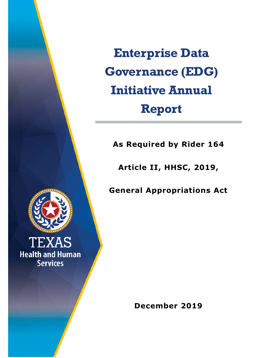**Enterprise Data Governance (EDG) Initiative Annual Report**

**As Required by Rider 164**

**Article II, HHSC, 2019,**

**General Appropriations Act**



**TEXAS Health and Human Services** 

**December 2019**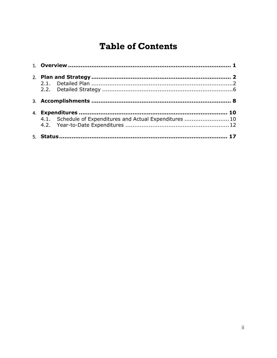# **Table of Contents**

| 4.1. Schedule of Expenditures and Actual Expenditures 10 |  |
|----------------------------------------------------------|--|
|                                                          |  |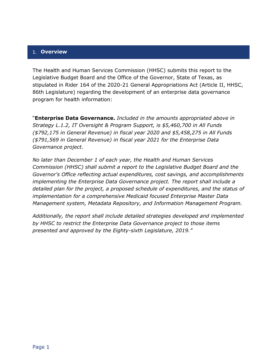#### <span id="page-2-0"></span>1. **Overview**

The Health and Human Services Commission (HHSC) submits this report to the Legislative Budget Board and the Office of the Governor, State of Texas, as stipulated in Rider 164 of the 2020-21 General Appropriations Act (Article II, HHSC, 86th Legislature) regarding the development of an enterprise data governance program for health information:

"**Enterprise Data Governance.** *Included in the amounts appropriated above in Strategy L.1.2, IT Oversight & Program Support, is \$5,460,700 in All Funds (\$792,175 in General Revenue) in fiscal year 2020 and \$5,458,275 in All Funds (\$791,569 in General Revenue) in fiscal year 2021 for the Enterprise Data Governance project.*

*No later than December 1 of each year, the Health and Human Services Commission (HHSC) shall submit a report to the Legislative Budget Board and the Governor's Office reflecting actual expenditures, cost savings, and accomplishments implementing the Enterprise Data Governance project. The report shall include a detailed plan for the project, a proposed schedule of expenditures, and the status of implementation for a comprehensive Medicaid focused Enterprise Master Data Management system, Metadata Repository, and Information Management Program.*

*Additionally, the report shall include detailed strategies developed and implemented by HHSC to restrict the Enterprise Data Governance project to those items presented and approved by the Eighty-sixth Legislature, 2019."*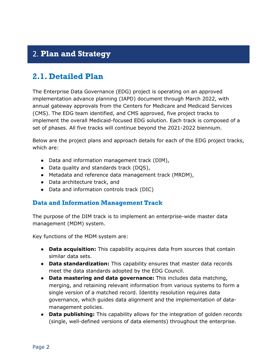# <span id="page-3-0"></span>2. **Plan and Strategy**

# <span id="page-3-1"></span>**2.1. Detailed Plan**

The Enterprise Data Governance (EDG) project is operating on an approved implementation advance planning (IAPD) document through March 2022, with annual gateway approvals from the Centers for Medicare and Medicaid Services (CMS). The EDG team identified, and CMS approved, five project tracks to implement the overall Medicaid-focused EDG solution. Each track is composed of a set of phases. All five tracks will continue beyond the 2021-2022 biennium.

Below are the project plans and approach details for each of the EDG project tracks, which are:

- Data and information management track (DIM),
- Data quality and standards track (DQS),
- Metadata and reference data management track (MRDM),
- Data architecture track, and
- Data and information controls track (DIC)

## **Data and Information Management Track**

The purpose of the DIM track is to implement an enterprise-wide master data management (MDM) system.

Key functions of the MDM system are:

- **Data acquisition:** This capability acquires data from sources that contain similar data sets.
- **Data standardization:** This capability ensures that master data records meet the data standards adopted by the EDG Council.
- **Data mastering and data governance:** This includes data matching, merging, and retaining relevant information from various systems to form a single version of a matched record. Identity resolution requires data governance, which guides data alignment and the implementation of datamanagement policies.
- **Data publishing:** This capability allows for the integration of golden records (single, well-defined versions of data elements) throughout the enterprise.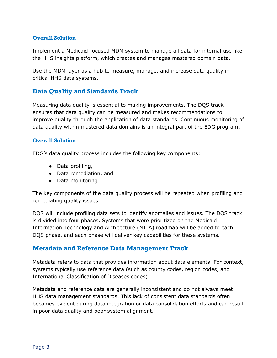## **Overall Solution**

Implement a Medicaid-focused MDM system to manage all data for internal use like the HHS insights platform, which creates and manages mastered domain data.

Use the MDM layer as a hub to measure, manage, and increase data quality in critical HHS data systems.

## **Data Quality and Standards Track**

Measuring data quality is essential to making improvements. The DQS track ensures that data quality can be measured and makes recommendations to improve quality through the application of data standards. Continuous monitoring of data quality within mastered data domains is an integral part of the EDG program.

#### **Overall Solution**

EDG's data quality process includes the following key components:

- Data profiling,
- Data remediation, and
- Data monitoring

The key components of the data quality process will be repeated when profiling and remediating quality issues.

DQS will include profiling data sets to identify anomalies and issues. The DQS track is divided into four phases. Systems that were prioritized on the Medicaid Information Technology and Architecture (MITA) roadmap will be added to each DQS phase, and each phase will deliver key capabilities for these systems.

## **Metadata and Reference Data Management Track**

Metadata refers to data that provides information about data elements. For context, systems typically use reference data (such as county codes, region codes, and International Classification of Diseases codes).

Metadata and reference data are generally inconsistent and do not always meet HHS data management standards. This lack of consistent data standards often becomes evident during data integration or data consolidation efforts and can result in poor data quality and poor system alignment.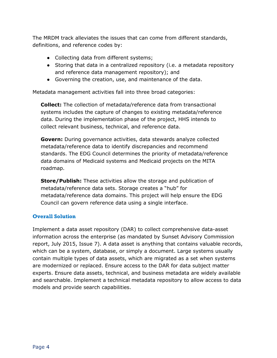The MRDM track alleviates the issues that can come from different standards, definitions, and reference codes by:

- Collecting data from different systems;
- Storing that data in a centralized repository (i.e. a metadata repository and reference data management repository); and
- Governing the creation, use, and maintenance of the data.

Metadata management activities fall into three broad categories:

**Collect:** The collection of metadata/reference data from transactional systems includes the capture of changes to existing metadata/reference data. During the implementation phase of the project, HHS intends to collect relevant business, technical, and reference data.

**Govern:** During governance activities, data stewards analyze collected metadata/reference data to identify discrepancies and recommend standards. The EDG Council determines the priority of metadata/reference data domains of Medicaid systems and Medicaid projects on the MITA roadmap.

**Store/Publish:** These activities allow the storage and publication of metadata/reference data sets. Storage creates a "hub" for metadata/reference data domains. This project will help ensure the EDG Council can govern reference data using a single interface.

### **Overall Solution**

Implement a data asset repository (DAR) to collect comprehensive data-asset information across the enterprise (as mandated by Sunset Advisory Commission report, July 2015, Issue 7). A data asset is anything that contains valuable records, which can be a system, database, or simply a document. Large systems usually contain multiple types of data assets, which are migrated as a set when systems are modernized or replaced. Ensure access to the DAR for data subject matter experts. Ensure data assets, technical, and business metadata are widely available and searchable. Implement a technical metadata repository to allow access to data models and provide search capabilities.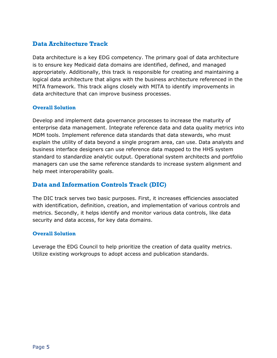## **Data Architecture Track**

Data architecture is a key EDG competency. The primary goal of data architecture is to ensure key Medicaid data domains are identified, defined, and managed appropriately. Additionally, this track is responsible for creating and maintaining a logical data architecture that aligns with the business architecture referenced in the MITA framework. This track aligns closely with MITA to identify improvements in data architecture that can improve business processes.

### **Overall Solution**

Develop and implement data governance processes to increase the maturity of enterprise data management. Integrate reference data and data quality metrics into MDM tools. Implement reference data standards that data stewards, who must explain the utility of data beyond a single program area, can use. Data analysts and business interface designers can use reference data mapped to the HHS system standard to standardize analytic output. Operational system architects and portfolio managers can use the same reference standards to increase system alignment and help meet interoperability goals.

## **Data and Information Controls Track (DIC)**

The DIC track serves two basic purposes. First, it increases efficiencies associated with identification, definition, creation, and implementation of various controls and metrics. Secondly, it helps identify and monitor various data controls, like data security and data access, for key data domains.

### **Overall Solution**

Leverage the EDG Council to help prioritize the creation of data quality metrics. Utilize existing workgroups to adopt access and publication standards.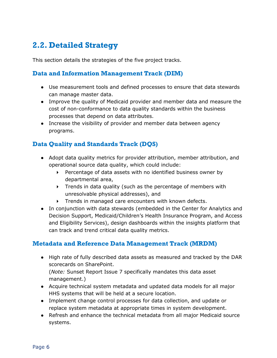# <span id="page-7-0"></span>**2.2. Detailed Strategy**

This section details the strategies of the five project tracks.

## **Data and Information Management Track (DIM)**

- Use measurement tools and defined processes to ensure that data stewards can manage master data.
- Improve the quality of Medicaid provider and member data and measure the cost of non-conformance to data quality standards within the business processes that depend on data attributes.
- Increase the visibility of provider and member data between agency programs.

## **Data Quality and Standards Track (DQS)**

- Adopt data quality metrics for provider attribution, member attribution, and operational source data quality, which could include:
	- Percentage of data assets with no identified business owner by departmental area,
	- $\triangleright$  Trends in data quality (such as the percentage of members with unresolvable physical addresses), and
	- Trends in managed care encounters with known defects.
- In conjunction with data stewards (embedded in the Center for Analytics and Decision Support, Medicaid/Children's Health Insurance Program, and Access and Eligibility Services), design dashboards within the insights platform that can track and trend critical data quality metrics.

## **Metadata and Reference Data Management Track (MRDM)**

- High rate of fully described data assets as measured and tracked by the DAR scorecards on SharePoint. (*Note:* Sunset Report Issue 7 specifically mandates this data asset management.)
- Acquire technical system metadata and updated data models for all major HHS systems that will be held at a secure location.
- Implement change control processes for data collection, and update or replace system metadata at appropriate times in system development.
- Refresh and enhance the technical metadata from all major Medicaid source systems.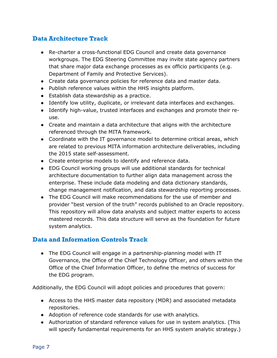## **Data Architecture Track**

- Re-charter a cross-functional EDG Council and create data governance workgroups. The EDG Steering Committee may invite state agency partners that share major data exchange processes as ex officio participants (e.g. Department of Family and Protective Services).
- Create data governance policies for reference data and master data.
- Publish reference values within the HHS insights platform.
- Establish data stewardship as a practice.
- Identify low utility, duplicate, or irrelevant data interfaces and exchanges.
- Identify high-value, trusted interfaces and exchanges and promote their reuse.
- Create and maintain a data architecture that aligns with the architecture referenced through the MITA framework.
- Coordinate with the IT governance model to determine critical areas, which are related to previous MITA information architecture deliverables, including the 2015 state self-assessment.
- Create enterprise models to identify and reference data.
- EDG Council working groups will use additional standards for technical architecture documentation to further align data management across the enterprise. These include data modeling and data dictionary standards, change management notification, and data stewardship reporting processes.
- The EDG Council will make recommendations for the use of member and provider "best version of the truth" records published to an Oracle repository. This repository will allow data analysts and subject matter experts to access mastered records. This data structure will serve as the foundation for future system analytics.

## **Data and Information Controls Track**

• The EDG Council will engage in a partnership-planning model with IT Governance, the Office of the Chief Technology Officer, and others within the Office of the Chief Information Officer, to define the metrics of success for the EDG program.

Additionally, the EDG Council will adopt policies and procedures that govern:

- Access to the HHS master data repository (MDR) and associated metadata repositories.
- Adoption of reference code standards for use with analytics.
- Authorization of standard reference values for use in system analytics. (This will specify fundamental requirements for an HHS system analytic strategy.)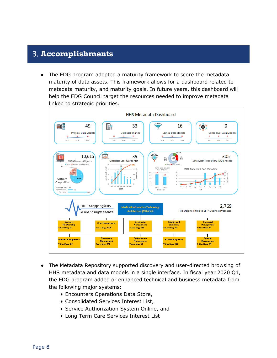# <span id="page-9-0"></span>3. **Accomplishments**

The EDG program adopted a maturity framework to score the metadata maturity of data assets. This framework allows for a dashboard related to metadata maturity, and maturity goals. In future years, this dashboard will help the EDG Council target the resources needed to improve metadata linked to strategic priorities.



- The Metadata Repository supported discovery and user-directed browsing of HHS metadata and data models in a single interface. In fiscal year 2020 Q1, the EDG program added or enhanced technical and business metadata from the following major systems:
	- Encounters Operations Data Store,
	- Consolidated Services Interest List,
	- Service Authorization System Online, and
	- ▶ Long Term Care Services Interest List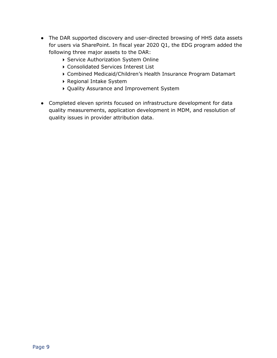- The DAR supported discovery and user-directed browsing of HHS data assets for users via SharePoint. In fiscal year 2020 Q1, the EDG program added the following three major assets to the DAR:
	- Service Authorization System Online
	- Consolidated Services Interest List
	- Combined Medicaid/Children's Health Insurance Program Datamart
	- Regional Intake System
	- Quality Assurance and Improvement System
- Completed eleven sprints focused on infrastructure development for data quality measurements, application development in MDM, and resolution of quality issues in provider attribution data.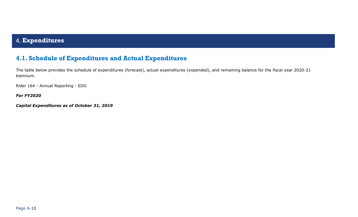# 4. **Expenditures**

## **4.1. Schedule of Expenditures and Actual Expenditures**

The table below provides the schedule of expenditures (forecast), actual expenditures (expended), and remaining balance for the fiscal year 2020-21 biennium.

Rider 164 - Annual Reporting - EDG

<span id="page-11-0"></span>*For FY2020* 

<span id="page-11-1"></span>*Capital Expenditures as of October 31, 2019*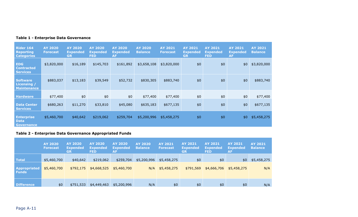| <b>Rider 164</b><br><b>Reporting</b><br><b>Categories</b> | <b>AY 2020</b><br><b>Forecast</b> | <b>AY 2020</b><br><b>Expended</b><br><b>GR</b> | <b>AY 2020</b><br><b>Expended</b><br><b>FED</b> | <b>AY 2020</b><br><b>Expended</b><br><b>AF</b> | <b>AY 2020</b><br><b>Balance</b> | <b>AY 2021</b><br><b>Forecast</b> | <b>AY 2021</b><br><b>Expended</b><br><b>GR</b> | <b>AY 2021</b><br><b>Expended</b><br><b>FED</b> | <b>AY 2021</b><br><b>Expended</b><br><b>AF</b> | <b>AY 2021</b><br><b>Balance</b> |
|-----------------------------------------------------------|-----------------------------------|------------------------------------------------|-------------------------------------------------|------------------------------------------------|----------------------------------|-----------------------------------|------------------------------------------------|-------------------------------------------------|------------------------------------------------|----------------------------------|
| <b>EDG</b><br><b>Contracted</b><br><b>Services</b>        | \$3,820,000                       | \$16,189                                       | \$145,703                                       | \$161,892                                      | \$3,658,108                      | \$3,820,000                       | \$0                                            | \$0                                             | \$0                                            | \$3,820,000                      |
| <b>Software</b><br>Licensing /<br><b>Maintenance</b>      | \$883,037                         | \$13,183                                       | \$39,549                                        | \$52,732                                       | \$830,305                        | \$883,740                         | \$0                                            | \$0                                             | \$0                                            | \$883,740                        |
| <b>Hardware</b>                                           | \$77,400                          | \$0                                            | \$0                                             | \$0                                            | \$77,400                         | \$77,400                          | \$0                                            | \$0                                             | \$0                                            | \$77,400                         |
| <b>Data Center</b><br><b>Services</b>                     | \$680,263                         | \$11,270                                       | \$33,810                                        | \$45,080                                       | \$635,183                        | \$677,135                         | \$0                                            | \$0                                             | \$0                                            | \$677,135                        |
| <b>Enterprise</b><br><b>Data</b><br><b>Governance</b>     | \$5,460,700                       | \$40,642                                       | \$219,062                                       | \$259,704                                      | \$5,200,996                      | \$5,458,275                       | \$0                                            | \$0                                             | \$0                                            | \$5,458,275                      |

### **Table 1 - Enterprise Data Governance**

### **Table 2 - Enterprise Data Governance Appropriated Funds**

|                                     | <b>AY 2020</b><br><b>Forecast</b> | AY 2020<br><b>Expended</b><br><b>GR</b> | AY 2020<br><b>Expended</b><br><b>FED</b> | <b>AY 2020</b><br><b>Expended</b><br><b>AF</b> | AY 2020<br><b>Balance</b> | AY 2021<br><b>Forecast</b> | <b>AY 2021</b><br><b>Expended</b><br><b>GR</b> | AY 2021<br><b>Expended</b><br><b>FED</b> | <b>AY 2021</b><br><b>Expended</b><br>AF | <b>AY 2021</b><br><b>Balance</b> |
|-------------------------------------|-----------------------------------|-----------------------------------------|------------------------------------------|------------------------------------------------|---------------------------|----------------------------|------------------------------------------------|------------------------------------------|-----------------------------------------|----------------------------------|
| <b>Total</b>                        | \$5,460,700                       | \$40,642                                | \$219,062                                | \$259,704                                      | \$5,200,996               | \$5,458,275                | \$0                                            | \$0                                      | \$0                                     | \$5,458,275                      |
| <b>Appropriated</b><br><b>Funds</b> | \$5,460,700                       | \$792,175                               | \$4,668,525                              | \$5,460,700                                    | N/A                       | \$5,458,275                | \$791,569                                      | \$4,666,706                              | \$5,458,275                             | N/A                              |
| <b>Difference</b>                   | \$0                               | \$751,533                               | \$4,449,463                              | \$5,200,996                                    | N/A                       | \$0                        | \$0                                            | \$0                                      | \$0                                     | N/A                              |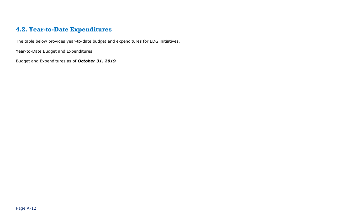# **4.2. Year-to-Date Expenditures**

The table below provides year-to-date budget and expenditures for EDG initiatives.

Year-to-Date Budget and Expenditures

<span id="page-13-0"></span>Budget and Expenditures as of *October 31, 2019*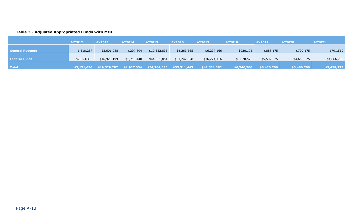#### **Table 3 - Adjusted Appropriated Funds with MOF**

|                        | AY2012      | AY2013       | AY2014      | <b>AY2015</b> | AY2016       | AY2017       | <b>AY2018</b> | <b>AY2019</b> | <b>AY2020</b>   | AY2021      |
|------------------------|-------------|--------------|-------------|---------------|--------------|--------------|---------------|---------------|-----------------|-------------|
|                        |             |              |             |               |              |              |               |               |                 |             |
| <b>General Revenue</b> | \$318,257   | \$2,601,088  | \$207,894   | \$10,352,835  | \$4,263,565  | \$6,297,166  | \$920,175     | \$888,175     | \$792,175       | \$791,569   |
|                        |             |              |             |               |              |              |               |               |                 |             |
| <b>Federal Funds</b>   | \$2,853,399 | \$16,928,199 | \$1,719,440 | \$44,351,851  | \$31,247,878 | \$36,224,116 | \$5,820,525   | \$5,532,525   | \$4,668,525     | \$4,666,706 |
|                        |             |              |             |               |              |              |               |               |                 |             |
| Total                  | \$3,171,656 | \$19,529,287 | \$1,927,334 | \$54,704,686  | \$35,511,443 | \$42,521,282 | \$6,740,700   | \$6,420,700   | \ \$5,460,700 \ | \$5,458,275 |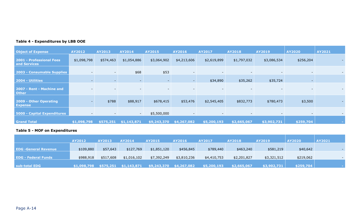| <b>Object of Expense</b>                        | <b>AY2012</b>            | AY2013                   | <b>AY2014</b> | <b>AY2015</b> | <b>AY2016</b>            | <b>AY2017</b>            | <b>AY2018</b>            | <b>AY2019</b>            | <b>AY2020</b>            | AY2021      |
|-------------------------------------------------|--------------------------|--------------------------|---------------|---------------|--------------------------|--------------------------|--------------------------|--------------------------|--------------------------|-------------|
| <b>2001 - Professional Fees</b><br>and Services | \$1,098,798              | \$574,463                | \$1,054,886   | \$3,064,902   | \$4,213,606              | \$2,619,899              | \$1,797,032              | \$3,086,534              | \$256,204                |             |
| 2003 - Consumable Supplies                      | $\overline{\phantom{0}}$ | $\sim$                   | \$68          | \$53          | $\overline{\phantom{0}}$ | $\sim$                   | $\overline{\phantom{0}}$ | $\overline{\phantom{a}}$ | $\sim$                   |             |
| 2004 - Utilities                                | $\sim$                   | $\overline{\phantom{0}}$ | $\sim$        |               | $\sim$                   | \$34,890                 | \$35,262                 | \$35,724                 | $\sim$                   |             |
| 2007 - Rent - Machine and<br><b>Other</b>       |                          |                          |               |               |                          |                          |                          |                          |                          |             |
| 2009 - Other Operating<br><b>Expense</b>        |                          | \$788                    | \$88,917      | \$678,415     | \$53,476                 | \$2,545,405              | \$832,773                | \$780,473                | \$3,500                  | $\sim$      |
| 5000 - Capital Expenditures                     | $\overline{\phantom{0}}$ | $\overline{\phantom{0}}$ | $\sim$        | \$5,500,000   | $\overline{\phantom{a}}$ | $\overline{\phantom{0}}$ | $\overline{\phantom{0}}$ | $\overline{\phantom{a}}$ | $\overline{\phantom{a}}$ |             |
| <b>Grand Total</b>                              | \$1,098,798              | \$575,251                | \$1,143,871   | \$9,243,370   | \$4,267,082              | \$5,200,193              | \$2,665,067              | 53,902,731               | \$259,704                | <b>COLL</b> |

### **Table 5 - MOF on Expenditures**

|                             | AY2012      | AY2013    | <b>AY2014</b>         | <b>AY2015</b> | AY2016                  | <b>AY2017</b> | <b>AY2018</b> | AY2019      | <b>AY2020</b> | AY2021 |
|-----------------------------|-------------|-----------|-----------------------|---------------|-------------------------|---------------|---------------|-------------|---------------|--------|
| <b>EDG</b> -General Revenue | \$109,880   | \$57,643  | \$127,769             | \$1,851,120   | \$456,845               | \$789,440     | \$463,240     | \$581,219   | \$40,642      |        |
| <b>EDG - Federal Funds</b>  | \$988,918   | \$517,608 | \$1,016,102           | \$7,392,249   | \$3,810,236             | \$4,410,753   | \$2,201,827   | \$3,321,512 | \$219,062     |        |
| sub-total EDG               | \$1,098,798 |           | \$575,251 \$1,143,871 |               | \$9,243,370 \$4,267,082 | \$5,200,193   | \$2,665,067   | \$3,902,731 | \$259,704     |        |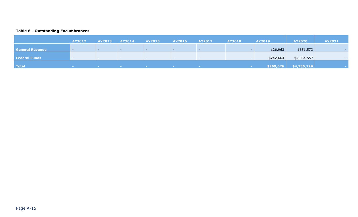### **Table 6 - Outstanding Encumbrances**

|                        | <b>AY2012</b>            | AY2013        | AY2014                   | <b>AY2015</b> | <b>AY2016</b>            | <b>AY2017</b>            | <b>AY2018</b>   | <b>AY2019</b> | <b>AY2020</b>                   | <b>AY2021</b>            |
|------------------------|--------------------------|---------------|--------------------------|---------------|--------------------------|--------------------------|-----------------|---------------|---------------------------------|--------------------------|
|                        |                          |               |                          |               |                          |                          |                 |               |                                 |                          |
| <b>General Revenue</b> | $\overline{\phantom{0}}$ |               | --                       |               | $-$                      | $\sim$                   |                 | \$26,963      | \$651,573                       |                          |
|                        |                          |               |                          |               |                          |                          |                 |               |                                 |                          |
| <b>Federal Funds</b>   | $-$                      | $-$           | $\overline{\phantom{0}}$ | $-$           | $\sim$                   | $\overline{\phantom{0}}$ |                 | \$242,664     | \$4,084,557                     | $\overline{\phantom{0}}$ |
|                        |                          |               |                          |               |                          |                          |                 |               |                                 |                          |
| <b>Total</b>           | <b>Contract Contract</b> | <b>Common</b> | <b>Common</b>            |               | <b>Contract Contract</b> | <b>Contract</b>          | <b>Contract</b> |               | $\vert$ \$269,626   \$4,736,129 |                          |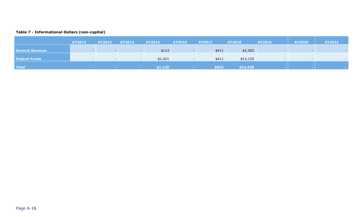### **Table 7 - Informational Dollars (non-capital)**

|                        | AY2012                     | <b>AY2013</b>            | AY2014                   | <b>AY2015</b> | <b>AY2016</b>   | <b>AY2017</b> | <b>AY2018</b> | <b>AY2019</b> | <b>AY2020</b>            | <b>AY2021</b> |
|------------------------|----------------------------|--------------------------|--------------------------|---------------|-----------------|---------------|---------------|---------------|--------------------------|---------------|
| <b>General Revenue</b> |                            |                          | $\sim$                   | \$113         |                 | \$411         | \$2,303       |               |                          |               |
| <b>Federal Funds</b>   |                            | $-$                      | $\overline{\phantom{0}}$ | \$1,021       |                 | \$411         | \$13,125      |               | $\overline{\phantom{0}}$ |               |
| <b>Total</b>           | <b>Committee Committee</b> | <b>Contract Contract</b> | <b>Contract</b>          | \$1,135       | <b>Contract</b> | \$822         | \$15,428      |               |                          |               |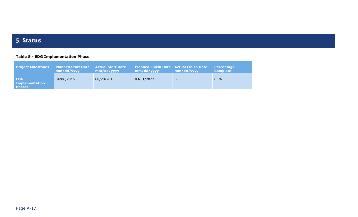# 5. **Status**

### **Table 8 - EDG Implementation Phase**

<span id="page-18-0"></span>

| <b>Project Milestones</b>              | <b>Planned Start Date</b><br>mm/dd/vyyy | Actual Start Date<br>mm/dd/vyyy | <b>Planned Finish Date Actual Finish Date</b><br>mm/dd/vyyy | mm/dd/vyyy               | <b>Percentage</b><br><b>Complete</b> |
|----------------------------------------|-----------------------------------------|---------------------------------|-------------------------------------------------------------|--------------------------|--------------------------------------|
| <b>EDG</b><br>Implementation<br>Phase: | 04/06/2015                              | 08/20/2015                      | 03/31/2022                                                  | $\overline{\phantom{0}}$ | 65%                                  |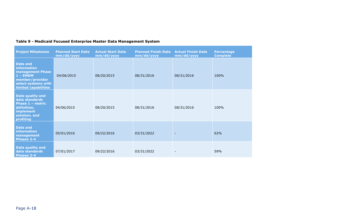| <b>Project Milestones</b>                                                                                                                 | <b>Planned Start Date</b><br>mm/dd/yyyy | <b>Actual Start Date</b><br>mm/dd/yyyy | <b>Planned Finish Date</b><br>mm/dd/yyyy | <b>Actual Finish Date</b><br>mm/dd/yyyy | <b>Percentage</b><br><b>Complete</b> |
|-------------------------------------------------------------------------------------------------------------------------------------------|-----------------------------------------|----------------------------------------|------------------------------------------|-----------------------------------------|--------------------------------------|
| <b>Data and</b><br><b>information</b><br>management Phase<br>$1 - EMDM$<br>member/provider<br>select systems with<br>limited capabilities | 04/06/2015                              | 08/20/2015                             | 08/31/2016                               | 08/31/2016                              | 100%                                 |
| <b>Data quality and</b><br>data standards<br>Phase 1 - metric<br>definition,<br><b>implement</b><br>solution, and<br>profiling            | 04/06/2015                              | 08/20/2015                             | 08/31/2016                               | 08/31/2016                              | 100%                                 |
| <b>Data and</b><br>information<br>management<br><b>Phases 2-4</b>                                                                         | 05/01/2016                              | 09/22/2016                             | 03/31/2022                               |                                         | 62%                                  |
| <b>Data quality and</b><br>data standards<br><b>Phases 2-4</b>                                                                            | 07/01/2017                              | 09/22/2016                             | 03/31/2022                               |                                         | 59%                                  |

## **Table 9 - Medicaid Focused Enterprise Master Data Management System**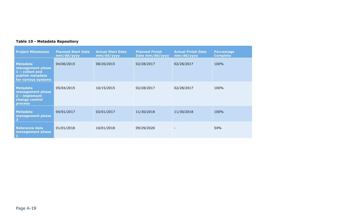### **Table 10 - Metadata Repository**

| <b>Project Milestones</b>                                                                         | <b>Planned Start Date</b><br>mm/dd/yyyy | <b>Actual Start Date</b><br>mm/dd/yyyy | <b>Planned Finish</b><br>Date mm/dd/yyyy | <b>Actual Finish Date</b><br>mm/dd/yyyy | <b>Percentage</b><br><b>Complete</b> |
|---------------------------------------------------------------------------------------------------|-----------------------------------------|----------------------------------------|------------------------------------------|-----------------------------------------|--------------------------------------|
| <b>Metadata</b><br>management phase<br>1 - collect and<br>publish metadata<br>for various systems | 04/06/2015                              | 08/20/2015                             | 02/28/2017                               | 02/28/2017                              | 100%                                 |
| <b>Metadata</b><br>management phase<br>$2 - implement$<br>change control<br><b>process</b>        | 05/04/2015                              | 10/15/2015                             | 02/28/2017                               | 02/28/2017                              | 100%                                 |
| <b>Metadata</b><br>management phase<br>$\overline{\mathbf{3}}$                                    | 04/01/2017                              | 03/01/2017                             | 11/30/2018                               | 11/30/2018                              | 100%                                 |
| <b>Reference data</b><br>management phase<br>$\mathbf{1}$                                         | 01/01/2018                              | 10/01/2018                             | 09/29/2020                               |                                         | 54%                                  |